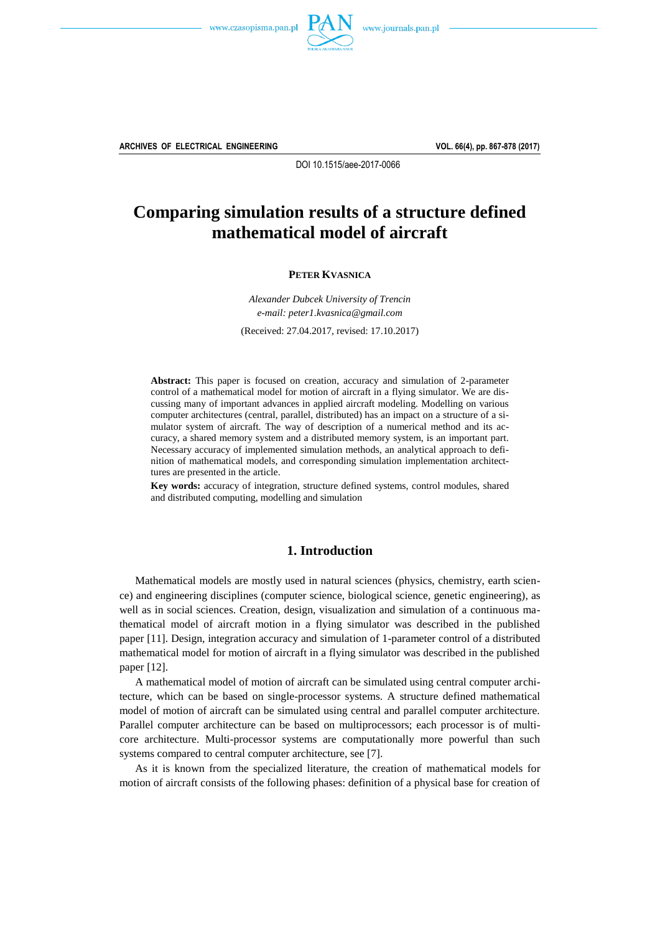



**ARCHIVES OF ELECTRICAL ENGINEERING VOL. 66(4), pp. 867-878 (2017)**

DOI 10.1515/aee-2017-0066

# **Comparing simulation results of a structure defined mathematical model of aircraft**

# **PETER KVASNICA**

*Alexander Dubcek University of Trencin e-mail: peter1.kvasnica@gmail.com*

(Received: 27.04.2017, revised: 17.10.2017)

**Abstract:** This paper is focused on creation, accuracy and simulation of 2-parameter control of a mathematical model for motion of aircraft in a flying simulator. We are discussing many of important advances in applied aircraft modeling. Modelling on various computer architectures (central, parallel, distributed) has an impact on a structure of a simulator system of aircraft. The way of description of a numerical method and its accuracy, a shared memory system and a distributed memory system, is an important part. Necessary accuracy of implemented simulation methods, an analytical approach to definition of mathematical models, and corresponding simulation implementation architecttures are presented in the article.

**Key words:** accuracy of integration, structure defined systems, control modules, shared and distributed computing, modelling and simulation

# **1. Introduction**

Mathematical models are mostly used in natural sciences (physics, chemistry, earth science) and engineering disciplines (computer science, biological science, genetic engineering), as well as in social sciences. Creation, design, visualization and simulation of a continuous mathematical model of aircraft motion in a flying simulator was described in the published paper [11]. Design, integration accuracy and simulation of 1-parameter control of a distributed mathematical model for motion of aircraft in a flying simulator was described in the published paper [12].

A mathematical model of motion of aircraft can be simulated using central computer architecture, which can be based on single-processor systems. A structure defined mathematical model of motion of aircraft can be simulated using central and parallel computer architecture. Parallel computer architecture can be based on multiprocessors; each processor is of multicore architecture. Multi-processor systems are computationally more powerful than such systems compared to central computer architecture, see [7].

As it is known from the specialized literature, the creation of mathematical models for motion of aircraft consists of the following phases: definition of a physical base for creation of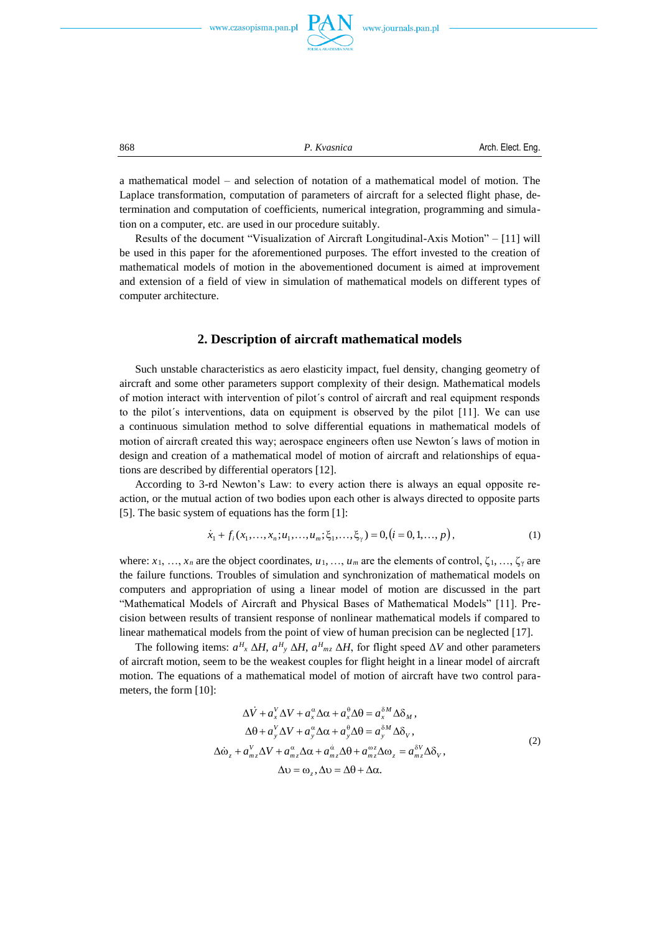

868 *P. Kvasnica* Arch. Elect. Eng.

a mathematical model – and selection of notation of a mathematical model of motion. The Laplace transformation, computation of parameters of aircraft for a selected flight phase, determination and computation of coefficients, numerical integration, programming and simulation on a computer, etc. are used in our procedure suitably.

Results of the document "Visualization of Aircraft Longitudinal-Axis Motion" – [11] will be used in this paper for the aforementioned purposes. The effort invested to the creation of mathematical models of motion in the abovementioned document is aimed at improvement and extension of a field of view in simulation of mathematical models on different types of computer architecture.

# **2. Description of aircraft mathematical models**

Such unstable characteristics as aero elasticity impact, fuel density, changing geometry of aircraft and some other parameters support complexity of their design. Mathematical models of motion interact with intervention of pilot´s control of aircraft and real equipment responds to the pilot´s interventions, data on equipment is observed by the pilot [11]. We can use a continuous simulation method to solve differential equations in mathematical models of motion of aircraft created this way; aerospace engineers often use Newton´s laws of motion in design and creation of a mathematical model of motion of aircraft and relationships of equations are described by differential operators [12].

According to 3-rd Newton's Law: to every action there is always an equal opposite reaction, or the mutual action of two bodies upon each other is always directed to opposite parts [5]. The basic system of equations has the form [1]:

$$
\dot{x}_1 + f_i(x_1, \dots, x_n; u_1, \dots, u_m; \xi_1, \dots, \xi_\gamma) = 0, (i = 0, 1, \dots, p),
$$
\n(1)

where:  $x_1, \ldots, x_n$  are the object coordinates,  $u_1, \ldots, u_m$  are the elements of control,  $\zeta_1, \ldots, \zeta_n$  are the failure functions. Troubles of simulation and synchronization of mathematical models on computers and appropriation of using a linear model of motion are discussed in the part "Mathematical Models of Aircraft and Physical Bases of Mathematical Models" [11]. Precision between results of transient response of nonlinear mathematical models if compared to linear mathematical models from the point of view of human precision can be neglected [17].

The following items:  $a^H_{x} \Delta H$ ,  $a^H_{y} \Delta H$ ,  $a^H_{mz} \Delta H$ , for flight speed  $\Delta V$  and other parameters of aircraft motion, seem to be the weakest couples for flight height in a linear model of aircraft motion. The equations of a mathematical model of motion of aircraft have two control parameters, the form [10]:

$$
\Delta \dot{V} + a_x^V \Delta V + a_x^\alpha \Delta \alpha + a_x^\theta \Delta \theta = a_x^{\delta M} \Delta \delta_M,
$$
  
\n
$$
\Delta \theta + a_y^V \Delta V + a_y^\alpha \Delta \alpha + a_y^\theta \Delta \theta = a_y^{\delta M} \Delta \delta_V,
$$
  
\n
$$
\Delta \dot{\omega}_z + a_{mz}^V \Delta V + a_{mz}^\alpha \Delta \alpha + a_{mz}^\alpha \Delta \theta + a_{mz}^{\omega z} \Delta \omega_z = a_{mz}^{\delta V} \Delta \delta_V,
$$
  
\n
$$
\Delta \upsilon = \omega_z, \Delta \upsilon = \Delta \theta + \Delta \alpha.
$$
\n(2)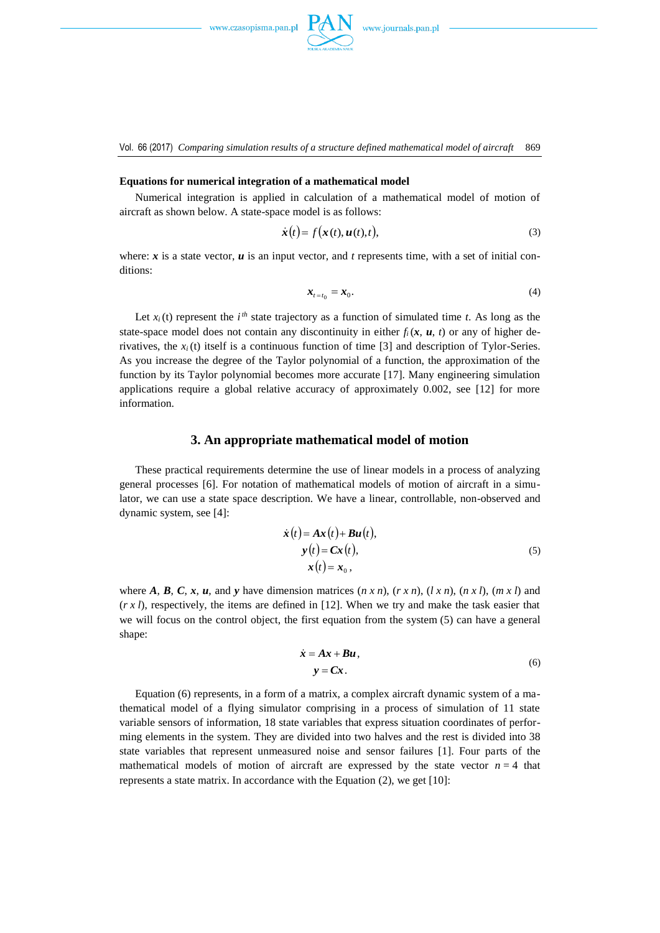

Vol. 66 (2017) *Comparing simulation results of a structure defined mathematical model of aircraft* 869

#### **Equations for numerical integration of a mathematical model**

Numerical integration is applied in calculation of a mathematical model of motion of aircraft as shown below. A state-space model is as follows:

$$
\dot{\boldsymbol{x}}(t) = f(\boldsymbol{x}(t), \boldsymbol{u}(t), t), \tag{3}
$$

where:  $x$  is a state vector,  $u$  is an input vector, and  $t$  represents time, with a set of initial conditions:

$$
\boldsymbol{x}_{t=t_0} = \boldsymbol{x}_0. \tag{4}
$$

Let  $x_i(t)$  represent the  $i^{th}$  state trajectory as a function of simulated time *t*. As long as the state-space model does not contain any discontinuity in either  $f_i(x, u, t)$  or any of higher derivatives, the *x<sup>i</sup>* (t) itself is a continuous function of time [3] and description of Tylor-Series. As you increase the degree of the Taylor polynomial of a function, the approximation of the function by its Taylor polynomial becomes more accurate [17]. Many engineering simulation applications require a global relative accuracy of approximately 0.002, see [12] for more information.

#### **3. An appropriate mathematical model of motion**

These practical requirements determine the use of linear models in a process of analyzing general processes [6]. For notation of mathematical models of motion of aircraft in a simulator, we can use a state space description. We have a linear, controllable, non-observed and dynamic system, see [4]:

$$
\dot{x}(t) = Ax(t) + Bu(t),
$$
  
\n
$$
y(t) = Cx(t),
$$
  
\n
$$
x(t) = x_0,
$$
\n(5)

where A, B, C, x, u, and y have dimension matrices  $(n \times n)$ ,  $(r \times n)$ ,  $(l \times n)$ ,  $(n \times l)$ ,  $(m \times l)$  and  $(r x l)$ , respectively, the items are defined in [12]. When we try and make the task easier that we will focus on the control object, the first equation from the system (5) can have a general shape:

$$
\dot{x} = Ax + Bu, \n y = Cx.
$$
\n(6)

Equation (6) represents, in a form of a matrix, a complex aircraft dynamic system of a mathematical model of a flying simulator comprising in a process of simulation of 11 state variable sensors of information, 18 state variables that express situation coordinates of performing elements in the system. They are divided into two halves and the rest is divided into 38 state variables that represent unmeasured noise and sensor failures [1]. Four parts of the mathematical models of motion of aircraft are expressed by the state vector  $n = 4$  that represents a state matrix. In accordance with the Equation (2), we get [10]: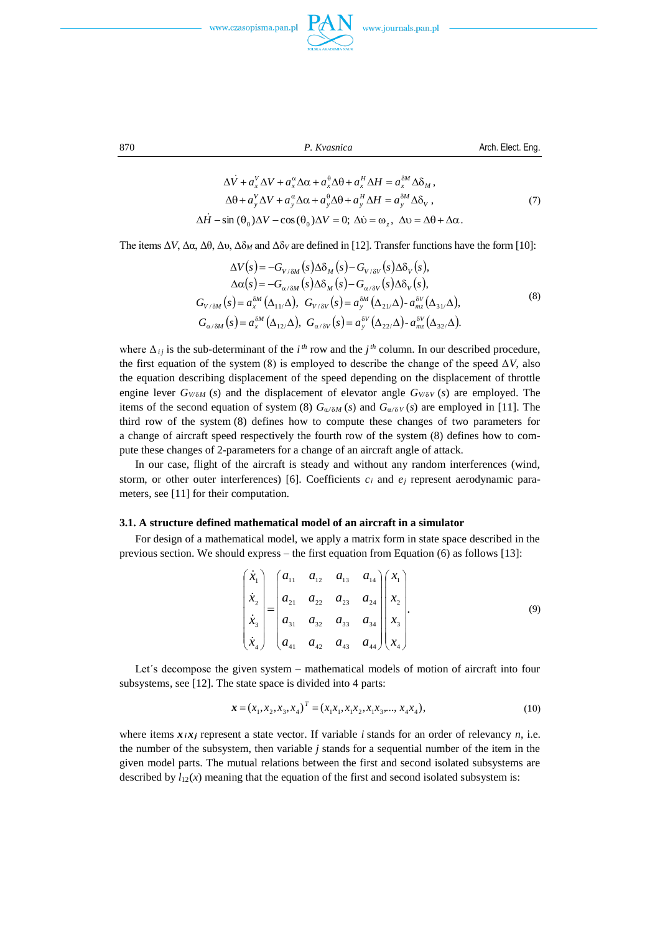



870 *P. Kvasnica* Arch. Elect. Eng.

$$
\Delta \dot{V} + a_x^V \Delta V + a_x^\alpha \Delta \alpha + a_x^\theta \Delta \theta + a_x^H \Delta H = a_x^{\delta M} \Delta \delta_M,
$$
  
\n
$$
\Delta \theta + a_y^V \Delta V + a_y^\alpha \Delta \alpha + a_y^\theta \Delta \theta + a_y^H \Delta H = a_y^{\delta M} \Delta \delta_V,
$$
  
\n
$$
\Delta \dot{H} - \sin (\theta_0) \Delta V - \cos (\theta_0) \Delta V = 0; \ \Delta \dot{v} = \omega_z, \ \Delta v = \Delta \theta + \Delta \alpha.
$$
\n(7)

The items  $\Delta V$ ,  $\Delta \alpha$ ,  $\Delta \theta$ ,  $\Delta \upsilon$ ,  $\Delta \delta_M$  and  $\Delta \delta_V$  are defined in [12]. Transfer functions have the form [10]:

$$
\Delta V(s) = -G_{V/\delta M}(s)\Delta\delta_{M}(s) - G_{V/\delta V}(s)\Delta\delta_{V}(s),
$$
  
\n
$$
\Delta\alpha(s) = -G_{\alpha/\delta M}(s)\Delta\delta_{M}(s) - G_{\alpha/\delta V}(s)\Delta\delta_{V}(s),
$$
  
\n
$$
G_{V/\delta M}(s) = a_{x}^{\delta M}(\Delta_{11}/\Delta), G_{V/\delta V}(s) = a_{y}^{\delta M}(\Delta_{21}/\Delta) - a_{mz}^{\delta V}(\Delta_{31}/\Delta),
$$
  
\n
$$
G_{\alpha/\delta M}(s) = a_{x}^{\delta M}(\Delta_{12}/\Delta), G_{\alpha/\delta V}(s) = a_{y}^{\delta V}(\Delta_{22}/\Delta) - a_{mz}^{\delta V}(\Delta_{32}/\Delta).
$$
\n(8)

where  $\Delta_{ij}$  is the sub-determinant of the  $i^{th}$  row and the  $j^{th}$  column. In our described procedure, the first equation of the system (8) is employed to describe the change of the speed  $\Delta V$ , also the equation describing displacement of the speed depending on the displacement of throttle engine lever  $G_{V/\delta M}$  (*s*) and the displacement of elevator angle  $G_{V/\delta V}$  (*s*) are employed. The items of the second equation of system (8)  $G_{\alpha/\delta M}(s)$  and  $G_{\alpha/\delta V}(s)$  are employed in [11]. The third row of the system (8) defines how to compute these changes of two parameters for a change of aircraft speed respectively the fourth row of the system (8) defines how to compute these changes of 2-parameters for a change of an aircraft angle of attack.

In our case, flight of the aircraft is steady and without any random interferences (wind, storm, or other outer interferences) [6]. Coefficients  $c_i$  and  $e_j$  represent aerodynamic parameters, see [11] for their computation.

#### **3.1. A structure defined mathematical model of an aircraft in a simulator**

For design of a mathematical model, we apply a matrix form in state space described in the previous section. We should express – the first equation from Equation (6) as follows [13]:

$$
\begin{pmatrix} \dot{x}_1 \\ \dot{x}_2 \\ \dot{x}_3 \\ \dot{x}_4 \end{pmatrix} = \begin{pmatrix} a_{11} & a_{12} & a_{13} & a_{14} \\ a_{21} & a_{22} & a_{23} & a_{24} \\ a_{31} & a_{32} & a_{33} & a_{34} \\ a_{41} & a_{42} & a_{43} & a_{44} \end{pmatrix} \begin{pmatrix} x_1 \\ x_2 \\ x_3 \\ x_4 \end{pmatrix}.
$$
\n(9)

Let's decompose the given system – mathematical models of motion of aircraft into four subsystems, see [12]. The state space is divided into 4 parts:

$$
\boldsymbol{x} = (x_1, x_2, x_3, x_4)^T = (x_1 x_1, x_1 x_2, x_1 x_3, \dots, x_4 x_4),
$$
\n(10)

where items  $x_i x_j$  represent a state vector. If variable *i* stands for an order of relevancy *n*, i.e. the number of the subsystem, then variable *j* stands for a sequential number of the item in the given model parts. The mutual relations between the first and second isolated subsystems are described by  $l_{12}(x)$  meaning that the equation of the first and second isolated subsystem is: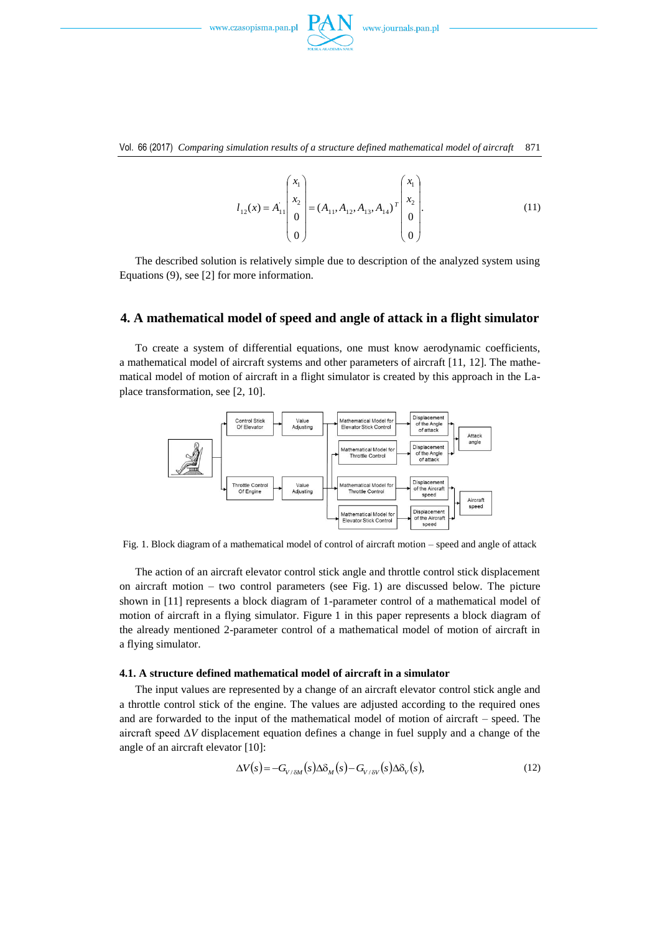

$$
l_{12}(x) = A_{11} \begin{pmatrix} x_1 \\ x_2 \\ 0 \\ 0 \end{pmatrix} = (A_{11}, A_{12}, A_{13}, A_{14})^T \begin{pmatrix} x_1 \\ x_2 \\ 0 \\ 0 \end{pmatrix}.
$$
 (11)

The described solution is relatively simple due to description of the analyzed system using Equations (9), see [2] for more information.

# **4. A mathematical model of speed and angle of attack in a flight simulator**

To create a system of differential equations, one must know aerodynamic coefficients, a mathematical model of aircraft systems and other parameters of aircraft [11, 12]. The mathematical model of motion of aircraft in a flight simulator is created by this approach in the Laplace transformation, see [2, 10].



Fig. 1. Block diagram of a mathematical model of control of aircraft motion – speed and angle of attack

The action of an aircraft elevator control stick angle and throttle control stick displacement on aircraft motion – two control parameters (see Fig. 1) are discussed below. The picture shown in [11] represents a block diagram of 1-parameter control of a mathematical model of motion of aircraft in a flying simulator. Figure 1 in this paper represents a block diagram of the already mentioned 2-parameter control of a mathematical model of motion of aircraft in a flying simulator.

#### **4.1. A structure defined mathematical model of aircraft in a simulator**

The input values are represented by a change of an aircraft elevator control stick angle and a throttle control stick of the engine. The values are adjusted according to the required ones and are forwarded to the input of the mathematical model of motion of aircraft – speed. The aircraft speed  $\Delta V$  displacement equation defines a change in fuel supply and a change of the angle of an aircraft elevator [10]:

$$
\Delta V(s) = -G_{V/\delta M}(s)\Delta \delta_M(s) - G_{V/\delta V}(s)\Delta \delta_V(s), \tag{12}
$$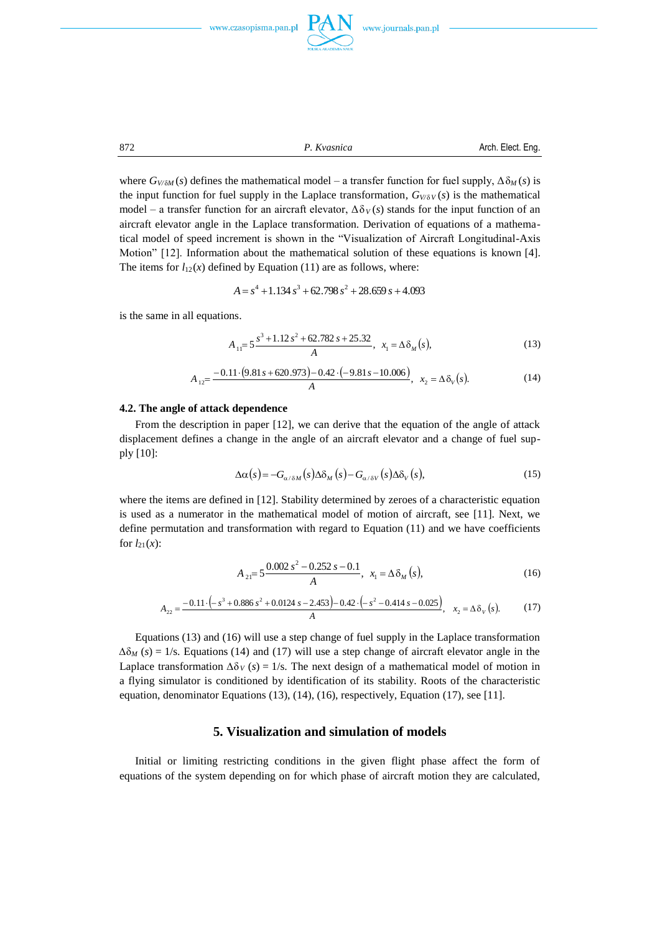

872 *P. Kvasnica* Arch. Elect. Eng.

where  $G_{V\delta M}(s)$  defines the mathematical model – a transfer function for fuel supply,  $\Delta \delta_M(s)$  is the input function for fuel supply in the Laplace transformation,  $G_{V\delta V}(s)$  is the mathematical model – a transfer function for an aircraft elevator,  $\Delta \delta v(s)$  stands for the input function of an aircraft elevator angle in the Laplace transformation. Derivation of equations of a mathematical model of speed increment is shown in the "Visualization of Aircraft Longitudinal-Axis Motion" [12]. Information about the mathematical solution of these equations is known [4]. The items for  $l_{12}(x)$  defined by Equation (11) are as follows, where:

$$
A = s4 + 1.134 s3 + 62.798 s2 + 28.659 s + 4.093
$$

is the same in all equations.

$$
A_{11} = 5\frac{s^3 + 1.12s^2 + 62.782s + 25.32}{A}, \quad x_1 = \Delta \delta_M(s),
$$
 (13)

$$
A_{12} = \frac{-0.11 \cdot (9.81 s + 620.973) - 0.42 \cdot (-9.81 s - 10.006)}{A}, \quad x_2 = \Delta \delta_V(s). \tag{14}
$$

# **4.2. The angle of attack dependence**

From the description in paper [12], we can derive that the equation of the angle of attack displacement defines a change in the angle of an aircraft elevator and a change of fuel supply [10]:

$$
\Delta \alpha(s) = -G_{\alpha/\delta M}(s) \Delta \delta_M(s) - G_{\alpha/\delta V}(s) \Delta \delta_V(s), \tag{15}
$$

where the items are defined in [12]. Stability determined by zeroes of a characteristic equation is used as a numerator in the mathematical model of motion of aircraft, see [11]. Next, we define permutation and transformation with regard to Equation (11) and we have coefficients for  $l_{21}(x)$ :

$$
A_{21} = 5 \frac{0.002 s^2 - 0.252 s - 0.1}{A}, \quad x_1 = \Delta \delta_M(s),
$$
 (16)

$$
A_{22} = \frac{-0.11 \cdot \left(-s^3 + 0.886 s^2 + 0.0124 s - 2.453\right) - 0.42 \cdot \left(-s^2 - 0.414 s - 0.025\right)}{A}, \quad x_2 = \Delta \delta_V(s). \tag{17}
$$

Equations (13) and (16) will use a step change of fuel supply in the Laplace transformation *∆*δ*<sup>M</sup>* (*s*) = 1/s. Equations (14) and (17) will use a step change of aircraft elevator angle in the Laplace transformation  $\Delta \delta V$  (*s*) = 1/s. The next design of a mathematical model of motion in a flying simulator is conditioned by identification of its stability. Roots of the characteristic equation, denominator Equations (13), (14), (16), respectively, Equation (17), see [11].

# **5. Visualization and simulation of models**

Initial or limiting restricting conditions in the given flight phase affect the form of equations of the system depending on for which phase of aircraft motion they are calculated,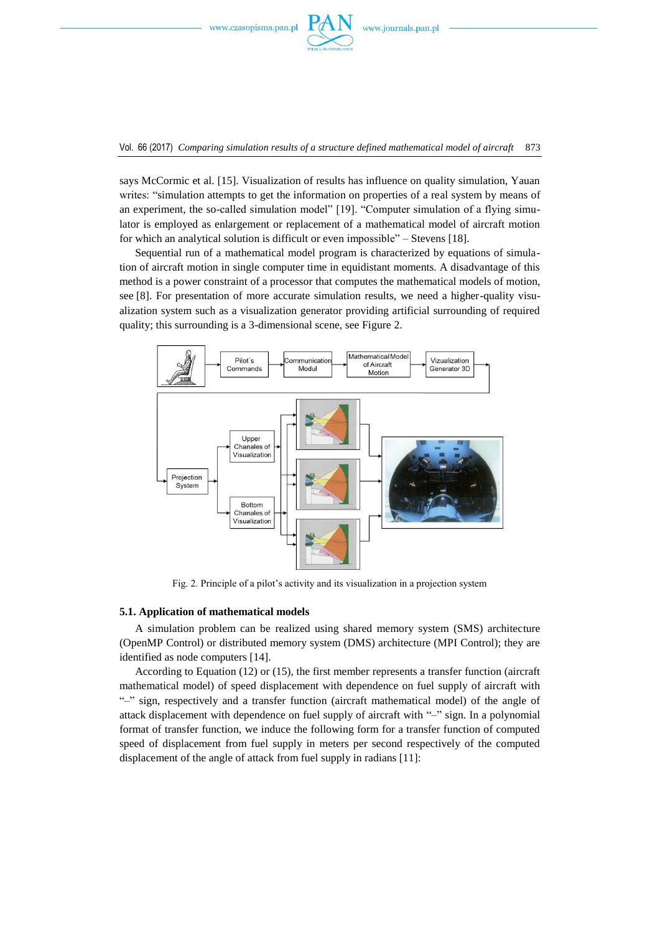

Vol. 66 (2017) *Comparing simulation results of a structure defined mathematical model of aircraft* 873

says McCormic et al. [15]. Visualization of results has influence on quality simulation, Yauan writes: "simulation attempts to get the information on properties of a real system by means of an experiment, the so-called simulation model" [19]. "Computer simulation of a flying simulator is employed as enlargement or replacement of a mathematical model of aircraft motion for which an analytical solution is difficult or even impossible" – Stevens [18].

Sequential run of a mathematical model program is characterized by equations of simulation of aircraft motion in single computer time in equidistant moments. A disadvantage of this method is a power constraint of a processor that computes the mathematical models of motion, see [8]. For presentation of more accurate simulation results, we need a higher-quality visualization system such as a visualization generator providing artificial surrounding of required quality; this surrounding is a 3-dimensional scene, see Figure 2.



Fig. 2. Principle of a pilot's activity and its visualization in a projection system

## **5.1. Application of mathematical models**

A simulation problem can be realized using shared memory system (SMS) architecture (OpenMP Control) or distributed memory system (DMS) architecture (MPI Control); they are identified as node computers [14].

According to Equation (12) or (15), the first member represents a transfer function (aircraft mathematical model) of speed displacement with dependence on fuel supply of aircraft with "–" sign, respectively and a transfer function (aircraft mathematical model) of the angle of attack displacement with dependence on fuel supply of aircraft with "–" sign. In a polynomial format of transfer function, we induce the following form for a transfer function of computed speed of displacement from fuel supply in meters per second respectively of the computed displacement of the angle of attack from fuel supply in radians [11]: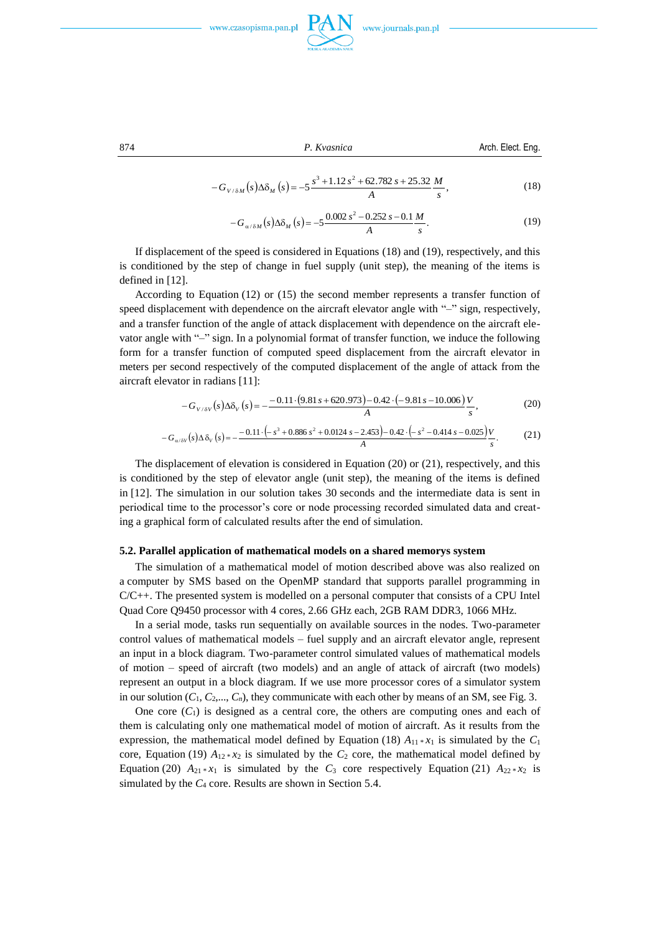

874 *P. Kvasnica* Arch. Elect. Eng.  $(s)$  $\Delta \delta_M$   $(s) = -5 \frac{s^3 + 1.12 s^2 + 62.782 s + 25.32 M}{s}$  $\frac{1}{\delta M}$  (3)  $\Delta O_M$  (3)  $\Delta O_M$  (3)  $\Delta O_M$ *M A*  $-G_{V/\delta M}(s)\Delta\delta_M(s) = -5\frac{s^3 + 1.12s^2 + 62.782s + 25.32}{4} \frac{M}{s}$ , (18)

$$
-G_{\alpha/8M}(s)\Delta\delta_M(s) = -5\frac{0.002s^2 - 0.252s - 0.1}{A}\frac{M}{s}.
$$
\n(19)

If displacement of the speed is considered in Equations (18) and (19), respectively, and this is conditioned by the step of change in fuel supply (unit step), the meaning of the items is defined in [12].

According to Equation (12) or (15) the second member represents a transfer function of speed displacement with dependence on the aircraft elevator angle with "-" sign, respectively, and a transfer function of the angle of attack displacement with dependence on the aircraft elevator angle with "–" sign. In a polynomial format of transfer function, we induce the following form for a transfer function of computed speed displacement from the aircraft elevator in meters per second respectively of the computed displacement of the angle of attack from the aircraft elevator in radians [11]:

$$
-G_{V/\delta V}(s)\Delta \delta_V(s) = -\frac{-0.11 \cdot (9.81 s + 620.973) - 0.42 \cdot (-9.81 s - 10.006)}{A} \frac{V}{s},\tag{20}
$$

$$
-G_{\alpha/\delta V}(s)\Delta\delta_V(s) = -\frac{-0.11 \cdot \left(-s^3 + 0.886 s^2 + 0.0124 s - 2.453\right) - 0.42 \cdot \left(-s^2 - 0.414 s - 0.025\right) V}{A}.
$$
 (21)

The displacement of elevation is considered in Equation (20) or (21), respectively, and this is conditioned by the step of elevator angle (unit step), the meaning of the items is defined in [12]. The simulation in our solution takes 30 seconds and the intermediate data is sent in periodical time to the processor's core or node processing recorded simulated data and creating a graphical form of calculated results after the end of simulation.

## **5.2. Parallel application of mathematical models on a shared memorys system**

The simulation of a mathematical model of motion described above was also realized on a computer by SMS based on the OpenMP standard that supports parallel programming in  $C/C++$ . The presented system is modelled on a personal computer that consists of a CPU Intel Quad Core Q9450 processor with 4 cores, 2.66 GHz each, 2GB RAM DDR3, 1066 MHz.

In a serial mode*,* tasks run sequentially on available sources in the nodes. Two-parameter control values of mathematical models – fuel supply and an aircraft elevator angle, represent an input in a block diagram. Two-parameter control simulated values of mathematical models of motion – speed of aircraft (two models) and an angle of attack of aircraft (two models) represent an output in a block diagram. If we use more processor cores of a simulator system in our solution  $(C_1, C_2, ..., C_n)$ , they communicate with each other by means of an SM, see Fig. 3.

One core  $(C_1)$  is designed as a central core, the others are computing ones and each of them is calculating only one mathematical model of motion of aircraft. As it results from the expression, the mathematical model defined by Equation (18)  $A_{11} * x_1$  is simulated by the  $C_1$ core, Equation (19)  $A_{12} * x_2$  is simulated by the  $C_2$  core, the mathematical model defined by Equation (20)  $A_{21} * x_1$  is simulated by the  $C_3$  core respectively Equation (21)  $A_{22} * x_2$  is simulated by the  $C_4$  core. Results are shown in Section 5.4.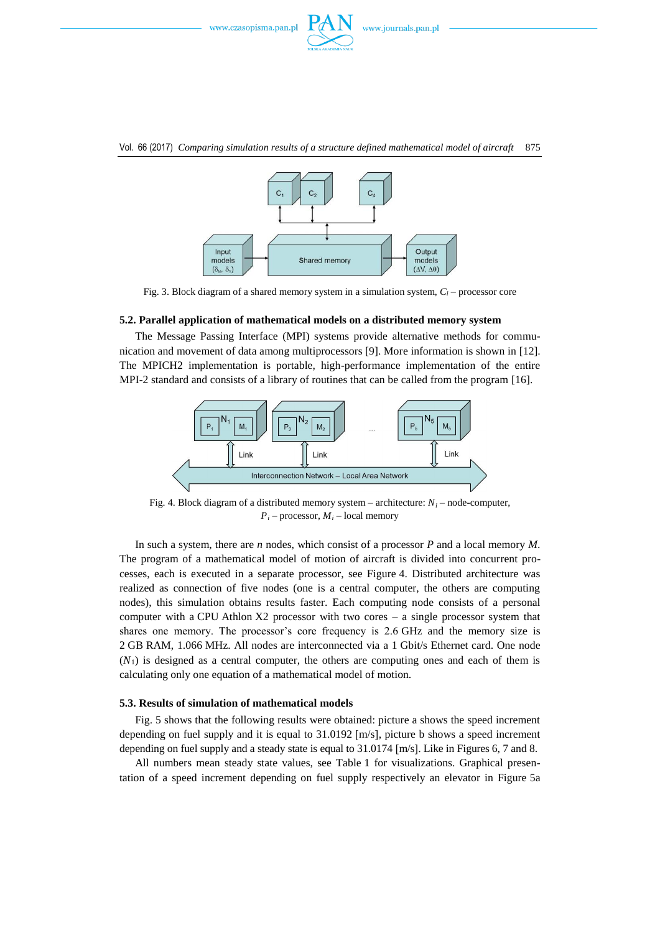



Fig. 3. Block diagram of a shared memory system in a simulation system,  $C_i$  – processor core

# **5.2. Parallel application of mathematical models on a distributed memory system**

The Message Passing Interface (MPI) systems provide alternative methods for communication and movement of data among multiprocessors [9]. More information is shown in [12]. The MPICH2 implementation is portable, high-performance implementation of the entire MPI-2 standard and consists of a library of routines that can be called from the program [16].



Fig. 4. Block diagram of a distributed memory system – architecture:  $N_i$  – node-computer,  $P_i$  – processor,  $M_i$  – local memory

In such a system, there are *n* nodes, which consist of a processor *P* and a local memory *M*. The program of a mathematical model of motion of aircraft is divided into concurrent processes, each is executed in a separate processor, see Figure 4. Distributed architecture was realized as connection of five nodes (one is a central computer, the others are computing nodes), this simulation obtains results faster. Each computing node consists of a personal computer with a CPU Athlon X2 processor with two cores – a single processor system that shares one memory. The processor's core frequency is 2.6 GHz and the memory size is 2 GB RAM, 1.066 MHz. All nodes are interconnected via a 1 Gbit/s Ethernet card. One node  $(N_1)$  is designed as a central computer, the others are computing ones and each of them is calculating only one equation of a mathematical model of motion.

#### **5.3. Results of simulation of mathematical models**

Fig. 5 shows that the following results were obtained: picture a shows the speed increment depending on fuel supply and it is equal to  $31.0192$  [m/s], picture b shows a speed increment depending on fuel supply and a steady state is equal to  $31.0174$  [m/s]. Like in Figures 6, 7 and 8.

All numbers mean steady state values, see Table 1 for visualizations. Graphical presentation of a speed increment depending on fuel supply respectively an elevator in Figure 5a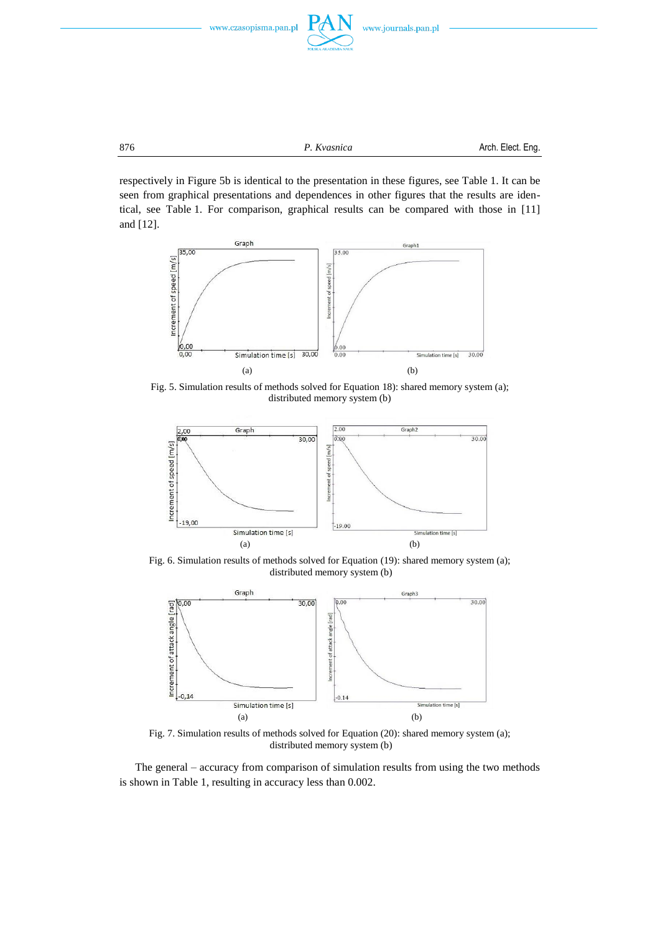

876 *P. Kvasnica* Arch. Elect. Eng.

respectively in Figure 5b is identical to the presentation in these figures, see Table 1. It can be seen from graphical presentations and dependences in other figures that the results are identical, see Table 1. For comparison, graphical results can be compared with those in [11] and [12].



Fig. 5. Simulation results of methods solved for Equation 18): shared memory system (a); distributed memory system (b)



Fig. 6. Simulation results of methods solved for Equation (19): shared memory system (a); distributed memory system (b)



Fig. 7. Simulation results of methods solved for Equation (20): shared memory system (a); distributed memory system (b)

The general – accuracy from comparison of simulation results from using the two methods is shown in Table 1, resulting in accuracy less than 0.002.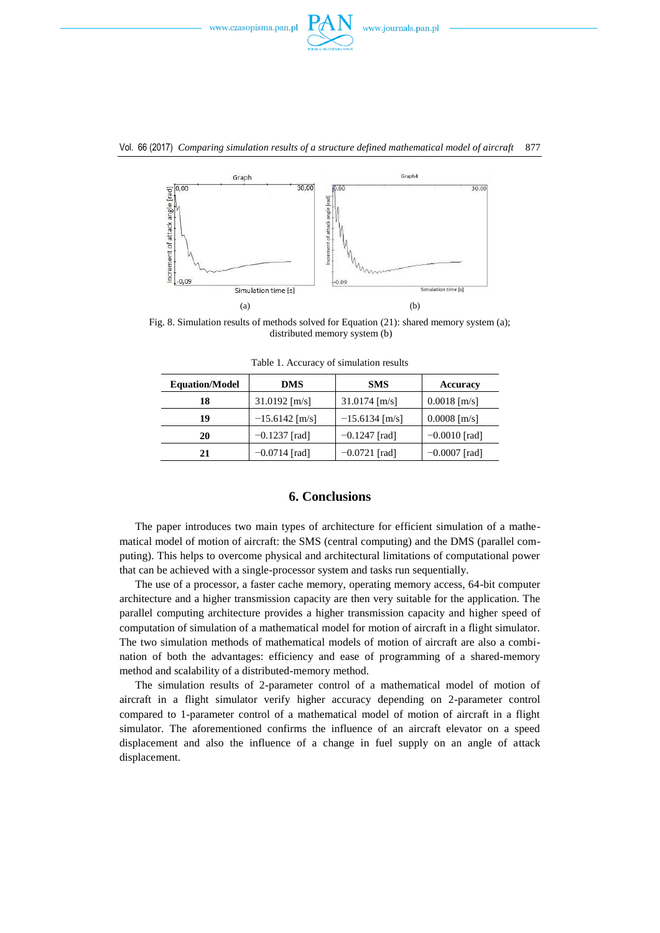



# Vol. 66 (2017) *Comparing simulation results of a structure defined mathematical model of aircraft* 877



Fig. 8. Simulation results of methods solved for Equation (21): shared memory system (a); distributed memory system (b)

| <b>Equation/Model</b> | <b>DMS</b>       | <b>SMS</b>       | Accuracy        |
|-----------------------|------------------|------------------|-----------------|
| 18                    | $31.0192$ [m/s]  | $31.0174$ [m/s]  | $0.0018$ [m/s]  |
| 19                    | $-15.6142$ [m/s] | $-15.6134$ [m/s] | $0.0008$ [m/s]  |
| 20                    | $-0.1237$ [rad]  | $-0.1247$ [rad]  | $-0.0010$ [rad] |
| 21                    | $-0.0714$ [rad]  | $-0.0721$ [rad]  | $-0.0007$ [rad] |

Table 1. Accuracy of simulation results

# **6. Conclusions**

The paper introduces two main types of architecture for efficient simulation of a mathematical model of motion of aircraft: the SMS (central computing) and the DMS (parallel computing). This helps to overcome physical and architectural limitations of computational power that can be achieved with a single-processor system and tasks run sequentially.

The use of a processor, a faster cache memory, operating memory access, 64-bit computer architecture and a higher transmission capacity are then very suitable for the application. The parallel computing architecture provides a higher transmission capacity and higher speed of computation of simulation of a mathematical model for motion of aircraft in a flight simulator. The two simulation methods of mathematical models of motion of aircraft are also a combination of both the advantages: efficiency and ease of programming of a shared-memory method and scalability of a distributed-memory method.

The simulation results of 2-parameter control of a mathematical model of motion of aircraft in a flight simulator verify higher accuracy depending on 2-parameter control compared to 1-parameter control of a mathematical model of motion of aircraft in a flight simulator. The aforementioned confirms the influence of an aircraft elevator on a speed displacement and also the influence of a change in fuel supply on an angle of attack displacement.